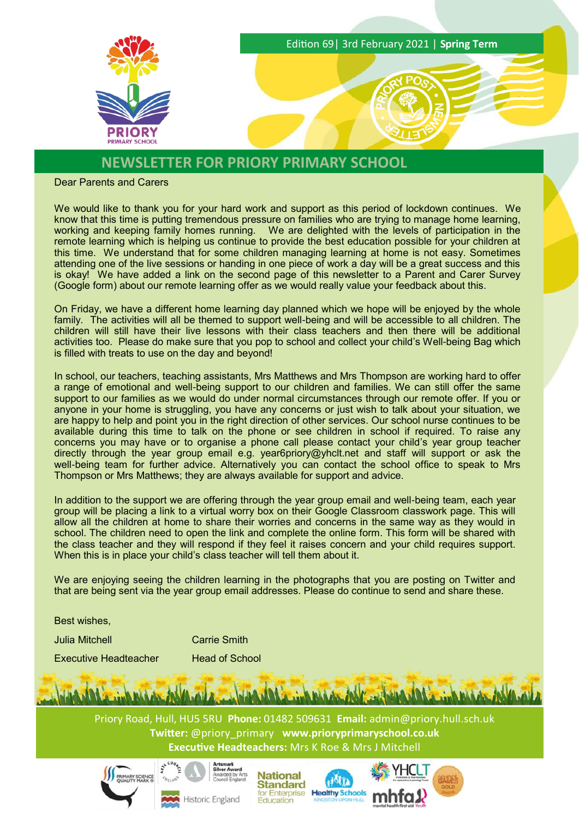

## **NEWSLETTER FOR PRIORY PRIMARY SCHOOL**

Dear Parents and Carers

We would like to thank you for your hard work and support as this period of lockdown continues. We know that this time is putting tremendous pressure on families who are trying to manage home learning, working and keeping family homes running. We are delighted with the levels of participation in the remote learning which is helping us continue to provide the best education possible for your children at this time. We understand that for some children managing learning at home is not easy. Sometimes attending one of the live sessions or handing in one piece of work a day will be a great success and this is okay! We have added a link on the second page of this newsletter to a Parent and Carer Survey (Google form) about our remote learning offer as we would really value your feedback about this.

On Friday, we have a different home learning day planned which we hope will be enjoyed by the whole family. The activities will all be themed to support well-being and will be accessible to all children. The children will still have their live lessons with their class teachers and then there will be additional activities too. Please do make sure that you pop to school and collect your child's Well-being Bag which is filled with treats to use on the day and beyond!

In school, our teachers, teaching assistants, Mrs Matthews and Mrs Thompson are working hard to offer a range of emotional and well-being support to our children and families. We can still offer the same support to our families as we would do under normal circumstances through our remote offer. If you or anyone in your home is struggling, you have any concerns or just wish to talk about your situation, we are happy to help and point you in the right direction of other services. Our school nurse continues to be available during this time to talk on the phone or see children in school if required. To raise any concerns you may have or to organise a phone call please contact your child's year group teacher directly through the year group email e.g. year6priory@yhclt.net and staff will support or ask the well-being team for further advice. Alternatively you can contact the school office to speak to Mrs Thompson or Mrs Matthews; they are always available for support and advice.

In addition to the support we are offering through the year group email and well-being team, each year group will be placing a link to a virtual worry box on their Google Classroom classwork page. This will allow all the children at home to share their worries and concerns in the same way as they would in school. The children need to open the link and complete the online form. This form will be shared with the class teacher and they will respond if they feel it raises concern and your child requires support. When this is in place your child's class teacher will tell them about it.

We are enjoying seeing the children learning in the photographs that you are posting on Twitter and that are being sent via the year group email addresses. Please do continue to send and share these.

Best wishes,

Julia Mitchell Carrie Smith

Executive Headteacher Head of School

Priory Road, Hull, HU5 5RU **Phone:** 01482 509631 **Email:** [admin@priory.hull.sch.uk](mailto:admin@priory.hull.sch.uk) **Twitter:** @priory\_primary **[www.prioryprimaryschool.co.uk](http://www.prioryprimaryschool.co.uk/)  Executive Headteachers:** Mrs K Roe & Mrs J Mitchell







dolin

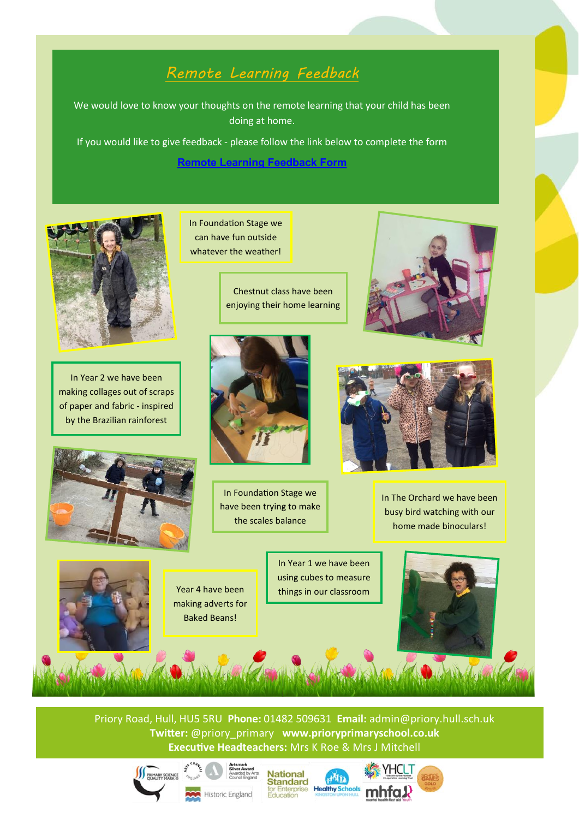## *Remote Learning Feedback*

We would love to know your thoughts on the remote learning that your child has been doing at home.

If you would like to give feedback - please follow the link below to complete the form

**[Remote Learning Feedback Form](https://forms.gle/XvYQresy4Z6VnoNg9)**



In Year 2 we have been making collages out of scraps of paper and fabric - inspired by the Brazilian rainforest



In Foundation Stage we can have fun outside whatever the weather!

Chestnut class have been enjoying their home learning



In Foundation Stage we have been trying to make the scales balance





In The Orchard we have been busy bird watching with our home made binoculars!



making adverts for Baked Beans!

In Year 1 we have been using cubes to measure Year 4 have been  $\begin{array}{|c|c|}\n\hline\n\end{array}$  things in our classroom



Priory Road, Hull, HU5 5RU **Phone:** 01482 509631 **Email:** [admin@priory.hull.sch.uk](mailto:admin@priory.hull.sch.uk) Priory Road, Hull, HU5 5RU **Phone:** 01482 509631 **Email:** [admin@priory.hull.sch.uk](mailto:admin@priory.hull.sch.uk) **Executive Headteacher: Executive Headteacher:** *Mrs* **K Roe Executive Headteacher: <b>Executive Headteacher: Executive Headteacher: <b>Executive Headteacher: C** Roe Executive Headteacher: **Executive Headteacher: Executi Executive Headteachers:** Mrs K Roe & Mrs J Mitchell







aðin